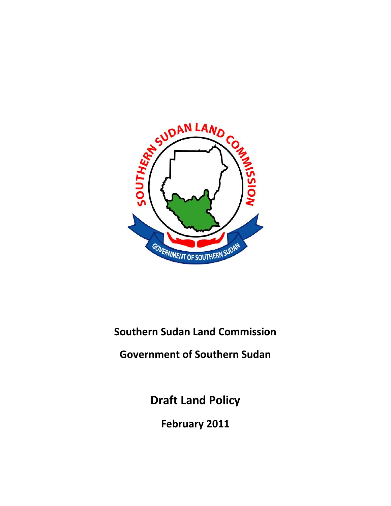

**Southern Sudan Land Commission**

**Government of Southern Sudan**

**Draft Land Policy**

**February 2011**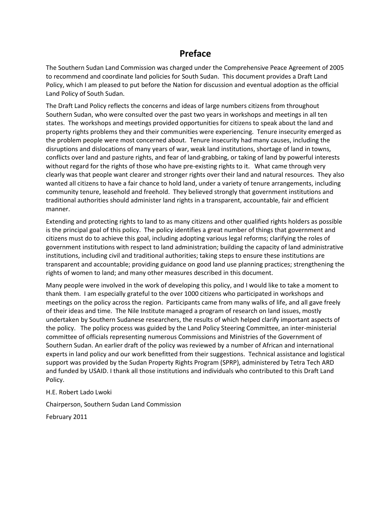# **Preface**

The Southern Sudan Land Commission was charged under the Comprehensive Peace Agreement of 2005 to recommend and coordinate land policies for South Sudan. This document provides a Draft Land Policy, which I am pleased to put before the Nation for discussion and eventual adoption as the official Land Policy of South Sudan.

The Draft Land Policy reflects the concerns and ideas of large numbers citizens from throughout Southern Sudan, who were consulted over the past two years in workshops and meetings in all ten states. The workshops and meetings provided opportunities for citizens to speak about the land and property rights problems they and their communities were experiencing. Tenure insecurity emerged as the problem people were most concerned about. Tenure insecurity had many causes, including the disruptions and dislocations of many years of war, weak land institutions, shortage of land in towns, conflicts over land and pasture rights, and fear of land-grabbing, or taking of land by powerful interests without regard for the rights of those who have pre-existing rights to it. What came through very clearly was that people want clearer and stronger rights over their land and natural resources. They also wanted all citizens to have a fair chance to hold land, under a variety of tenure arrangements, including community tenure, leasehold and freehold. They believed strongly that government institutions and traditional authorities should administer land rights in a transparent, accountable, fair and efficient manner.

Extending and protecting rights to land to as many citizens and other qualified rights holders as possible is the principal goal of this policy. The policy identifies a great number of things that government and citizens must do to achieve this goal, including adopting various legal reforms; clarifying the roles of government institutions with respect to land administration; building the capacity of land administrative institutions, including civil and traditional authorities; taking steps to ensure these institutions are transparent and accountable; providing guidance on good land use planning practices; strengthening the rights of women to land; and many other measures described in this document.

Many people were involved in the work of developing this policy, and I would like to take a moment to thank them. I am especially grateful to the over 1000 citizens who participated in workshops and meetings on the policy across the region. Participants came from many walks of life, and all gave freely of their ideas and time. The Nile Institute managed a program of research on land issues, mostly undertaken by Southern Sudanese researchers, the results of which helped clarify important aspects of the policy. The policy process was guided by the Land Policy Steering Committee, an inter-ministerial committee of officials representing numerous Commissions and Ministries of the Government of Southern Sudan. An earlier draft of the policy was reviewed by a number of African and international experts in land policy and our work benefitted from their suggestions. Technical assistance and logistical support was provided by the Sudan Property Rights Program (SPRP), administered by Tetra Tech ARD and funded by USAID. I thank all those institutions and individuals who contributed to this Draft Land Policy.

H.E. Robert Lado Lwoki

Chairperson, Southern Sudan Land Commission

February 2011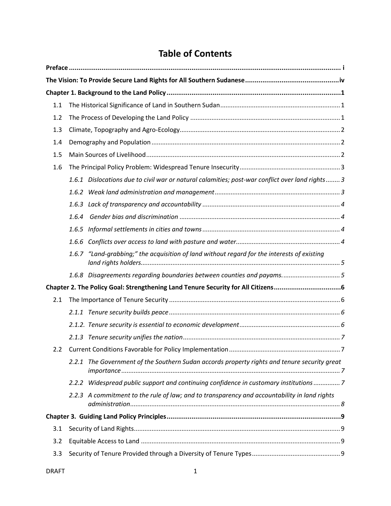# **Table of Contents**

| 1.1           |       |                                                                                                 |  |  |
|---------------|-------|-------------------------------------------------------------------------------------------------|--|--|
| 1.2           |       |                                                                                                 |  |  |
| 1.3           |       |                                                                                                 |  |  |
| 1.4           |       |                                                                                                 |  |  |
| 1.5           |       |                                                                                                 |  |  |
| 1.6           |       |                                                                                                 |  |  |
|               |       | 1.6.1 Dislocations due to civil war or natural calamities; post-war conflict over land rights 3 |  |  |
|               |       |                                                                                                 |  |  |
|               | 1.6.3 |                                                                                                 |  |  |
|               | 1.6.4 |                                                                                                 |  |  |
|               |       |                                                                                                 |  |  |
|               |       |                                                                                                 |  |  |
|               | 1.6.7 | "Land-grabbing;" the acquisition of land without regard for the interests of existing           |  |  |
|               |       | 1.6.8 Disagreements regarding boundaries between counties and payams5                           |  |  |
|               |       |                                                                                                 |  |  |
| 2.1           |       |                                                                                                 |  |  |
|               |       |                                                                                                 |  |  |
|               |       |                                                                                                 |  |  |
|               |       |                                                                                                 |  |  |
| $2.2^{\circ}$ |       |                                                                                                 |  |  |
|               |       | 2.2.1 The Government of the Southern Sudan accords property rights and tenure security great    |  |  |
|               |       | 2.2.2 Widespread public support and continuing confidence in customary institutions7            |  |  |
|               |       | 2.2.3 A commitment to the rule of law; and to transparency and accountability in land rights    |  |  |
|               |       |                                                                                                 |  |  |
| 3.1           |       |                                                                                                 |  |  |
| 3.2           |       |                                                                                                 |  |  |
| 3.3           |       |                                                                                                 |  |  |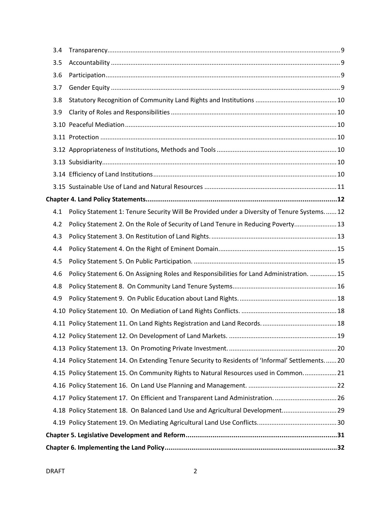| 3.4 |                                                                                                  |  |  |  |  |  |
|-----|--------------------------------------------------------------------------------------------------|--|--|--|--|--|
| 3.5 |                                                                                                  |  |  |  |  |  |
| 3.6 |                                                                                                  |  |  |  |  |  |
| 3.7 |                                                                                                  |  |  |  |  |  |
| 3.8 |                                                                                                  |  |  |  |  |  |
| 3.9 |                                                                                                  |  |  |  |  |  |
|     |                                                                                                  |  |  |  |  |  |
|     |                                                                                                  |  |  |  |  |  |
|     |                                                                                                  |  |  |  |  |  |
|     |                                                                                                  |  |  |  |  |  |
|     |                                                                                                  |  |  |  |  |  |
|     |                                                                                                  |  |  |  |  |  |
|     |                                                                                                  |  |  |  |  |  |
| 4.1 | Policy Statement 1: Tenure Security Will Be Provided under a Diversity of Tenure Systems 12      |  |  |  |  |  |
| 4.2 | Policy Statement 2. On the Role of Security of Land Tenure in Reducing Poverty 13                |  |  |  |  |  |
| 4.3 |                                                                                                  |  |  |  |  |  |
| 4.4 |                                                                                                  |  |  |  |  |  |
| 4.5 |                                                                                                  |  |  |  |  |  |
| 4.6 | Policy Statement 6. On Assigning Roles and Responsibilities for Land Administration.  15         |  |  |  |  |  |
| 4.8 |                                                                                                  |  |  |  |  |  |
| 4.9 |                                                                                                  |  |  |  |  |  |
|     |                                                                                                  |  |  |  |  |  |
|     |                                                                                                  |  |  |  |  |  |
|     |                                                                                                  |  |  |  |  |  |
|     |                                                                                                  |  |  |  |  |  |
|     | 4.14 Policy Statement 14. On Extending Tenure Security to Residents of 'Informal' Settlements 20 |  |  |  |  |  |
|     | 4.15 Policy Statement 15. On Community Rights to Natural Resources used in Common 21             |  |  |  |  |  |
|     |                                                                                                  |  |  |  |  |  |
|     | 4.17 Policy Statement 17. On Efficient and Transparent Land Administration. 26                   |  |  |  |  |  |
|     | 4.18 Policy Statement 18. On Balanced Land Use and Agricultural Development 29                   |  |  |  |  |  |
|     |                                                                                                  |  |  |  |  |  |
|     |                                                                                                  |  |  |  |  |  |
|     |                                                                                                  |  |  |  |  |  |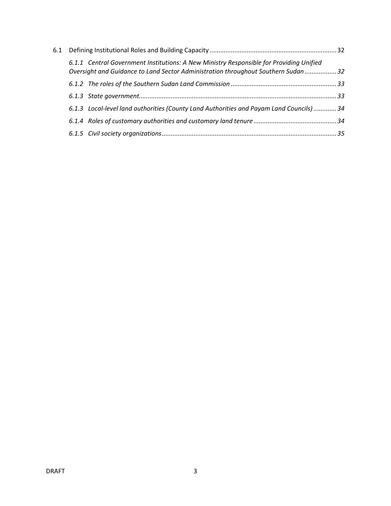| 6.1 |                                                                                                                                                                              |  |
|-----|------------------------------------------------------------------------------------------------------------------------------------------------------------------------------|--|
|     | 6.1.1 Central Government Institutions: A New Ministry Responsible for Providing Unified<br>Oversight and Guidance to Land Sector Administration throughout Southern Sudan 32 |  |
|     |                                                                                                                                                                              |  |
|     |                                                                                                                                                                              |  |
|     | 6.1.3 Local-level land authorities (County Land Authorities and Payam Land Councils)  34                                                                                     |  |
|     |                                                                                                                                                                              |  |
|     |                                                                                                                                                                              |  |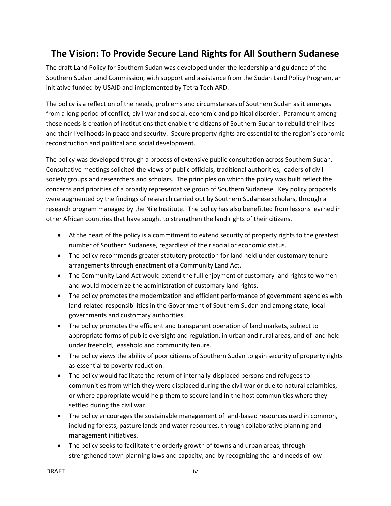# **The Vision: To Provide Secure Land Rights for All Southern Sudanese**

The draft Land Policy for Southern Sudan was developed under the leadership and guidance of the Southern Sudan Land Commission, with support and assistance from the Sudan Land Policy Program, an initiative funded by USAID and implemented by Tetra Tech ARD.

The policy is a reflection of the needs, problems and circumstances of Southern Sudan as it emerges from a long period of conflict, civil war and social, economic and political disorder. Paramount among those needs is creation of institutions that enable the citizens of Southern Sudan to rebuild their lives and their livelihoods in peace and security. Secure property rights are essential to the region's economic reconstruction and political and social development.

The policy was developed through a process of extensive public consultation across Southern Sudan. Consultative meetings solicited the views of public officials, traditional authorities, leaders of civil society groups and researchers and scholars. The principles on which the policy was built reflect the concerns and priorities of a broadly representative group of Southern Sudanese. Key policy proposals were augmented by the findings of research carried out by Southern Sudanese scholars, through a research program managed by the Nile Institute. The policy has also benefitted from lessons learned in other African countries that have sought to strengthen the land rights of their citizens.

- At the heart of the policy is a commitment to extend security of property rights to the greatest number of Southern Sudanese, regardless of their social or economic status.
- The policy recommends greater statutory protection for land held under customary tenure arrangements through enactment of a Community Land Act.
- The Community Land Act would extend the full enjoyment of customary land rights to women and would modernize the administration of customary land rights.
- The policy promotes the modernization and efficient performance of government agencies with land-related responsibilities in the Government of Southern Sudan and among state, local governments and customary authorities.
- The policy promotes the efficient and transparent operation of land markets, subject to appropriate forms of public oversight and regulation, in urban and rural areas, and of land held under freehold, leasehold and community tenure.
- The policy views the ability of poor citizens of Southern Sudan to gain security of property rights as essential to poverty reduction.
- The policy would facilitate the return of internally-displaced persons and refugees to communities from which they were displaced during the civil war or due to natural calamities, or where appropriate would help them to secure land in the host communities where they settled during the civil war.
- The policy encourages the sustainable management of land-based resources used in common, including forests, pasture lands and water resources, through collaborative planning and management initiatives.
- The policy seeks to facilitate the orderly growth of towns and urban areas, through strengthened town planning laws and capacity, and by recognizing the land needs of low-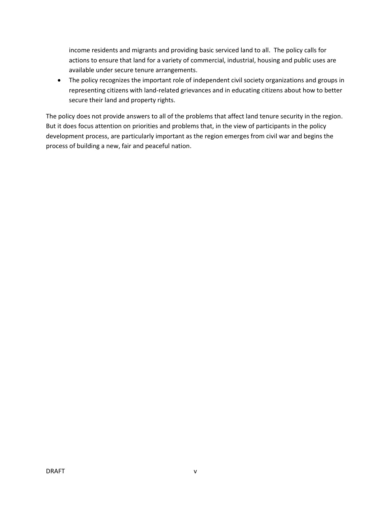income residents and migrants and providing basic serviced land to all. The policy calls for actions to ensure that land for a variety of commercial, industrial, housing and public uses are available under secure tenure arrangements.

 The policy recognizes the important role of independent civil society organizations and groups in representing citizens with land-related grievances and in educating citizens about how to better secure their land and property rights.

The policy does not provide answers to all of the problems that affect land tenure security in the region. But it does focus attention on priorities and problems that, in the view of participants in the policy development process, are particularly important as the region emerges from civil war and begins the process of building a new, fair and peaceful nation.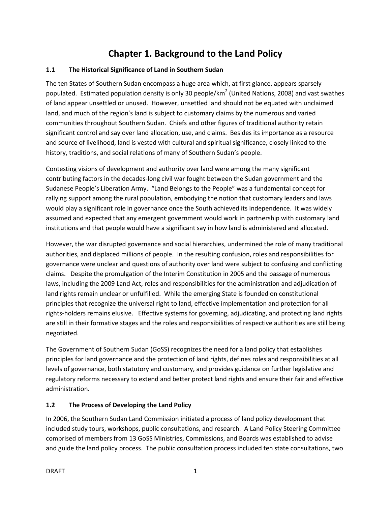# **Chapter 1. Background to the Land Policy**

## **1.1 The Historical Significance of Land in Southern Sudan**

The ten States of Southern Sudan encompass a huge area which, at first glance, appears sparsely populated. Estimated population density is only 30 people/km<sup>2</sup> (United Nations, 2008) and vast swathes of land appear unsettled or unused. However, unsettled land should not be equated with unclaimed land, and much of the region's land is subject to customary claims by the numerous and varied communities throughout Southern Sudan. Chiefs and other figures of traditional authority retain significant control and say over land allocation, use, and claims. Besides its importance as a resource and source of livelihood, land is vested with cultural and spiritual significance, closely linked to the history, traditions, and social relations of many of Southern Sudan's people.

Contesting visions of development and authority over land were among the many significant contributing factors in the decades-long civil war fought between the Sudan government and the Sudanese People's Liberation Army. "Land Belongs to the People" was a fundamental concept for rallying support among the rural population, embodying the notion that customary leaders and laws would play a significant role in governance once the South achieved its independence. It was widely assumed and expected that any emergent government would work in partnership with customary land institutions and that people would have a significant say in how land is administered and allocated.

However, the war disrupted governance and social hierarchies, undermined the role of many traditional authorities, and displaced millions of people. In the resulting confusion, roles and responsibilities for governance were unclear and questions of authority over land were subject to confusing and conflicting claims. Despite the promulgation of the Interim Constitution in 2005 and the passage of numerous laws, including the 2009 Land Act, roles and responsibilities for the administration and adjudication of land rights remain unclear or unfulfilled. While the emerging State is founded on constitutional principles that recognize the universal right to land, effective implementation and protection for all rights-holders remains elusive. Effective systems for governing, adjudicating, and protecting land rights are still in their formative stages and the roles and responsibilities of respective authorities are still being negotiated.

The Government of Southern Sudan (GoSS) recognizes the need for a land policy that establishes principles for land governance and the protection of land rights, defines roles and responsibilities at all levels of governance, both statutory and customary, and provides guidance on further legislative and regulatory reforms necessary to extend and better protect land rights and ensure their fair and effective administration.

## **1.2 The Process of Developing the Land Policy**

In 2006, the Southern Sudan Land Commission initiated a process of land policy development that included study tours, workshops, public consultations, and research. A Land Policy Steering Committee comprised of members from 13 GoSS Ministries, Commissions, and Boards was established to advise and guide the land policy process. The public consultation process included ten state consultations, two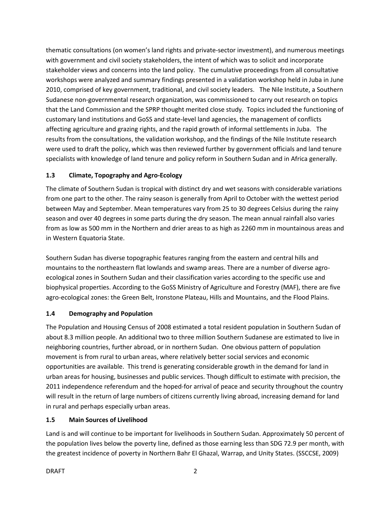thematic consultations (on women's land rights and private-sector investment), and numerous meetings with government and civil society stakeholders, the intent of which was to solicit and incorporate stakeholder views and concerns into the land policy. The cumulative proceedings from all consultative workshops were analyzed and summary findings presented in a validation workshop held in Juba in June 2010, comprised of key government, traditional, and civil society leaders. The Nile Institute, a Southern Sudanese non-governmental research organization, was commissioned to carry out research on topics that the Land Commission and the SPRP thought merited close study. Topics included the functioning of customary land institutions and GoSS and state-level land agencies, the management of conflicts affecting agriculture and grazing rights, and the rapid growth of informal settlements in Juba. The results from the consultations, the validation workshop, and the findings of the Nile Institute research were used to draft the policy, which was then reviewed further by government officials and land tenure specialists with knowledge of land tenure and policy reform in Southern Sudan and in Africa generally.

# **1.3 Climate, Topography and Agro-Ecology**

The climate of Southern Sudan is tropical with distinct dry and wet seasons with considerable variations from one part to the other. The rainy season is generally from April to October with the wettest period between May and September. Mean temperatures vary from 25 to 30 degrees Celsius during the rainy season and over 40 degrees in some parts during the dry season. The mean annual rainfall also varies from as low as 500 mm in the Northern and drier areas to as high as 2260 mm in mountainous areas and in Western Equatoria State.

Southern Sudan has diverse topographic features ranging from the eastern and central hills and mountains to the northeastern flat lowlands and swamp areas. There are a number of diverse agroecological zones in Southern Sudan and their classification varies according to the specific use and biophysical properties. According to the GoSS Ministry of Agriculture and Forestry (MAF), there are five agro-ecological zones: the Green Belt, Ironstone Plateau, Hills and Mountains, and the Flood Plains.

# **1.4 Demography and Population**

The Population and Housing Census of 2008 estimated a total resident population in Southern Sudan of about 8.3 million people. An additional two to three million Southern Sudanese are estimated to live in neighboring countries, further abroad, or in northern Sudan. One obvious pattern of population movement is from rural to urban areas, where relatively better social services and economic opportunities are available. This trend is generating considerable growth in the demand for land in urban areas for housing, businesses and public services. Though difficult to estimate with precision, the 2011 independence referendum and the hoped-for arrival of peace and security throughout the country will result in the return of large numbers of citizens currently living abroad, increasing demand for land in rural and perhaps especially urban areas.

## **1.5 Main Sources of Livelihood**

Land is and will continue to be important for livelihoods in Southern Sudan. Approximately 50 percent of the population lives below the poverty line, defined as those earning less than SDG 72.9 per month, with the greatest incidence of poverty in Northern Bahr El Ghazal, Warrap, and Unity States. (SSCCSE, 2009)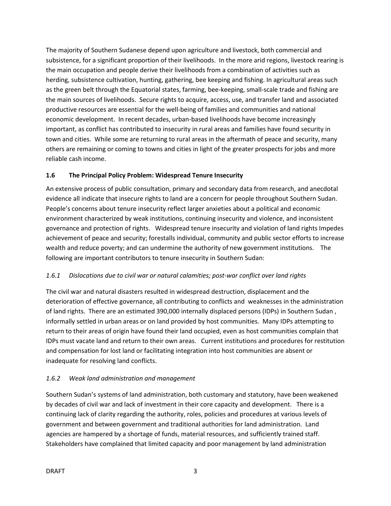The majority of Southern Sudanese depend upon agriculture and livestock, both commercial and subsistence, for a significant proportion of their livelihoods. In the more arid regions, livestock rearing is the main occupation and people derive their livelihoods from a combination of activities such as herding, subsistence cultivation, hunting, gathering, bee keeping and fishing. In agricultural areas such as the green belt through the Equatorial states, farming, bee-keeping, small-scale trade and fishing are the main sources of livelihoods. Secure rights to acquire, access, use, and transfer land and associated productive resources are essential for the well-being of families and communities and national economic development. In recent decades, urban-based livelihoods have become increasingly important, as conflict has contributed to insecurity in rural areas and families have found security in town and cities. While some are returning to rural areas in the aftermath of peace and security, many others are remaining or coming to towns and cities in light of the greater prospects for jobs and more reliable cash income.

## **1.6 The Principal Policy Problem: Widespread Tenure Insecurity**

An extensive process of public consultation, primary and secondary data from research, and anecdotal evidence all indicate that insecure rights to land are a concern for people throughout Southern Sudan. People's concerns about tenure insecurity reflect larger anxieties about a political and economic environment characterized by weak institutions, continuing insecurity and violence, and inconsistent governance and protection of rights. Widespread tenure insecurity and violation of land rights Impedes achievement of peace and security; forestalls individual, community and public sector efforts to increase wealth and reduce poverty; and can undermine the authority of new government institutions. The following are important contributors to tenure insecurity in Southern Sudan:

## *1.6.1 Dislocations due to civil war or natural calamities; post-war conflict over land rights*

The civil war and natural disasters resulted in widespread destruction, displacement and the deterioration of effective governance, all contributing to conflicts and weaknesses in the administration of land rights. There are an estimated 390,000 internally displaced persons (IDPs) in Southern Sudan , informally settled in urban areas or on land provided by host communities. Many IDPs attempting to return to their areas of origin have found their land occupied, even as host communities complain that IDPs must vacate land and return to their own areas. Current institutions and procedures for restitution and compensation for lost land or facilitating integration into host communities are absent or inadequate for resolving land conflicts.

# *1.6.2 Weak land administration and management*

Southern Sudan's systems of land administration, both customary and statutory, have been weakened by decades of civil war and lack of investment in their core capacity and development. There is a continuing lack of clarity regarding the authority, roles, policies and procedures at various levels of government and between government and traditional authorities for land administration. Land agencies are hampered by a shortage of funds, material resources, and sufficiently trained staff. Stakeholders have complained that limited capacity and poor management by land administration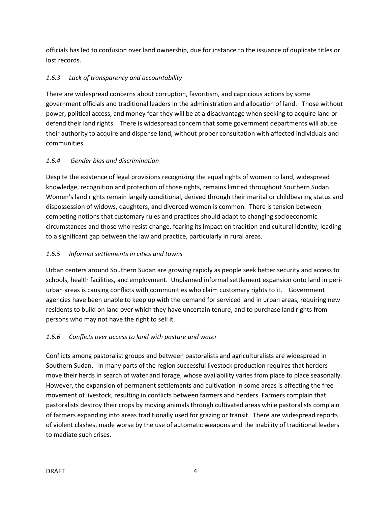officials has led to confusion over land ownership, due for instance to the issuance of duplicate titles or lost records.

# *1.6.3 Lack of transparency and accountability*

There are widespread concerns about corruption, favoritism, and capricious actions by some government officials and traditional leaders in the administration and allocation of land. Those without power, political access, and money fear they will be at a disadvantage when seeking to acquire land or defend their land rights. There is widespread concern that some government departments will abuse their authority to acquire and dispense land, without proper consultation with affected individuals and communities.

# *1.6.4 Gender bias and discrimination*

Despite the existence of legal provisions recognizing the equal rights of women to land, widespread knowledge, recognition and protection of those rights, remains limited throughout Southern Sudan. Women's land rights remain largely conditional, derived through their marital or childbearing status and dispossession of widows, daughters, and divorced women is common. There is tension between competing notions that customary rules and practices should adapt to changing socioeconomic circumstances and those who resist change, fearing its impact on tradition and cultural identity, leading to a significant gap between the law and practice, particularly in rural areas.

# *1.6.5 Informal settlements in cities and towns*

Urban centers around Southern Sudan are growing rapidly as people seek better security and access to schools, health facilities, and employment. Unplanned informal settlement expansion onto land in periurban areas is causing conflicts with communities who claim customary rights to it. Government agencies have been unable to keep up with the demand for serviced land in urban areas, requiring new residents to build on land over which they have uncertain tenure, and to purchase land rights from persons who may not have the right to sell it.

## *1.6.6 Conflicts over access to land with pasture and water*

Conflicts among pastoralist groups and between pastoralists and agriculturalists are widespread in Southern Sudan. In many parts of the region successful livestock production requires that herders move their herds in search of water and forage, whose availability varies from place to place seasonally. However, the expansion of permanent settlements and cultivation in some areas is affecting the free movement of livestock, resulting in conflicts between farmers and herders. Farmers complain that pastoralists destroy their crops by moving animals through cultivated areas while pastoralists complain of farmers expanding into areas traditionally used for grazing or transit. There are widespread reports of violent clashes, made worse by the use of automatic weapons and the inability of traditional leaders to mediate such crises.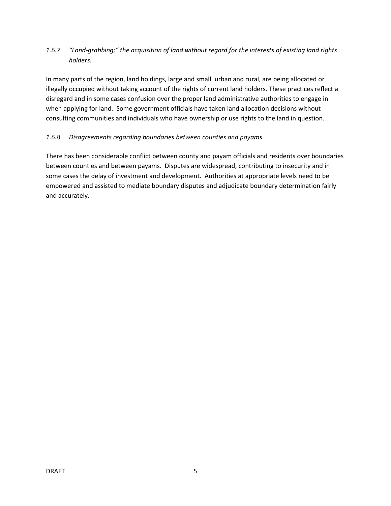# *1.6.7 "Land-grabbing;" the acquisition of land without regard for the interests of existing land rights holders.*

In many parts of the region, land holdings, large and small, urban and rural, are being allocated or illegally occupied without taking account of the rights of current land holders. These practices reflect a disregard and in some cases confusion over the proper land administrative authorities to engage in when applying for land. Some government officials have taken land allocation decisions without consulting communities and individuals who have ownership or use rights to the land in question.

# *1.6.8 Disagreements regarding boundaries between counties and payams.*

There has been considerable conflict between county and payam officials and residents over boundaries between counties and between payams. Disputes are widespread, contributing to insecurity and in some cases the delay of investment and development. Authorities at appropriate levels need to be empowered and assisted to mediate boundary disputes and adjudicate boundary determination fairly and accurately.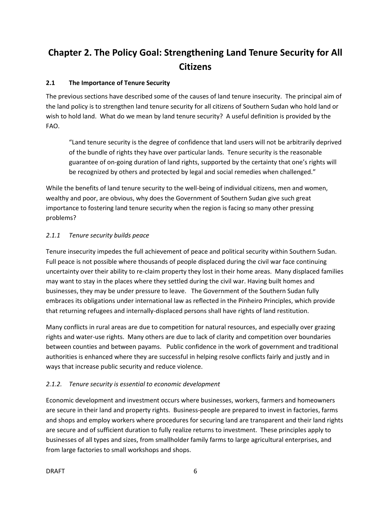# **Chapter 2. The Policy Goal: Strengthening Land Tenure Security for All Citizens**

## **2.1 The Importance of Tenure Security**

The previous sections have described some of the causes of land tenure insecurity. The principal aim of the land policy is to strengthen land tenure security for all citizens of Southern Sudan who hold land or wish to hold land. What do we mean by land tenure security? A useful definition is provided by the FAO.

"Land tenure security is the degree of confidence that land users will not be arbitrarily deprived of the bundle of rights they have over particular lands. Tenure security is the reasonable guarantee of on-going duration of land rights, supported by the certainty that one's rights will be recognized by others and protected by legal and social remedies when challenged."

While the benefits of land tenure security to the well-being of individual citizens, men and women, wealthy and poor, are obvious, why does the Government of Southern Sudan give such great importance to fostering land tenure security when the region is facing so many other pressing problems?

# *2.1.1 Tenure security builds peace*

Tenure insecurity impedes the full achievement of peace and political security within Southern Sudan. Full peace is not possible where thousands of people displaced during the civil war face continuing uncertainty over their ability to re-claim property they lost in their home areas. Many displaced families may want to stay in the places where they settled during the civil war. Having built homes and businesses, they may be under pressure to leave. The Government of the Southern Sudan fully embraces its obligations under international law as reflected in the Pinheiro Principles, which provide that returning refugees and internally-displaced persons shall have rights of land restitution.

Many conflicts in rural areas are due to competition for natural resources, and especially over grazing rights and water-use rights. Many others are due to lack of clarity and competition over boundaries between counties and between payams. Public confidence in the work of government and traditional authorities is enhanced where they are successful in helping resolve conflicts fairly and justly and in ways that increase public security and reduce violence.

# *2.1.2. Tenure security is essential to economic development*

Economic development and investment occurs where businesses, workers, farmers and homeowners are secure in their land and property rights. Business-people are prepared to invest in factories, farms and shops and employ workers where procedures for securing land are transparent and their land rights are secure and of sufficient duration to fully realize returns to investment. These principles apply to businesses of all types and sizes, from smallholder family farms to large agricultural enterprises, and from large factories to small workshops and shops.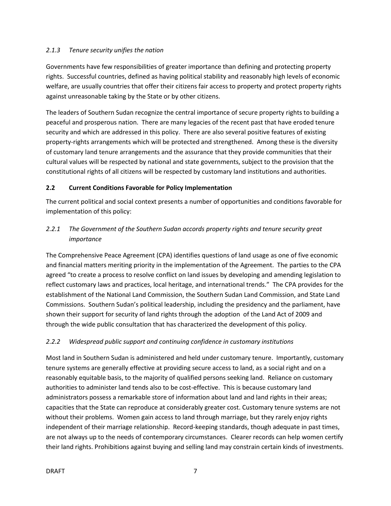## *2.1.3 Tenure security unifies the nation*

Governments have few responsibilities of greater importance than defining and protecting property rights. Successful countries, defined as having political stability and reasonably high levels of economic welfare, are usually countries that offer their citizens fair access to property and protect property rights against unreasonable taking by the State or by other citizens.

The leaders of Southern Sudan recognize the central importance of secure property rights to building a peaceful and prosperous nation. There are many legacies of the recent past that have eroded tenure security and which are addressed in this policy. There are also several positive features of existing property-rights arrangements which will be protected and strengthened. Among these is the diversity of customary land tenure arrangements and the assurance that they provide communities that their cultural values will be respected by national and state governments, subject to the provision that the constitutional rights of all citizens will be respected by customary land institutions and authorities.

## **2.2 Current Conditions Favorable for Policy Implementation**

The current political and social context presents a number of opportunities and conditions favorable for implementation of this policy:

# *2.2.1 The Government of the Southern Sudan accords property rights and tenure security great importance*

The Comprehensive Peace Agreement (CPA) identifies questions of land usage as one of five economic and financial matters meriting priority in the implementation of the Agreement. The parties to the CPA agreed "to create a process to resolve conflict on land issues by developing and amending legislation to reflect customary laws and practices, local heritage, and international trends." The CPA provides for the establishment of the National Land Commission, the Southern Sudan Land Commission, and State Land Commissions. Southern Sudan's political leadership, including the presidency and the parliament, have shown their support for security of land rights through the adoption of the Land Act of 2009 and through the wide public consultation that has characterized the development of this policy.

## *2.2.2 Widespread public support and continuing confidence in customary institutions*

Most land in Southern Sudan is administered and held under customary tenure. Importantly, customary tenure systems are generally effective at providing secure access to land, as a social right and on a reasonably equitable basis, to the majority of qualified persons seeking land. Reliance on customary authorities to administer land tends also to be cost-effective. This is because customary land administrators possess a remarkable store of information about land and land rights in their areas; capacities that the State can reproduce at considerably greater cost. Customary tenure systems are not without their problems. Women gain access to land through marriage, but they rarely enjoy rights independent of their marriage relationship. Record-keeping standards, though adequate in past times, are not always up to the needs of contemporary circumstances. Clearer records can help women certify their land rights. Prohibitions against buying and selling land may constrain certain kinds of investments.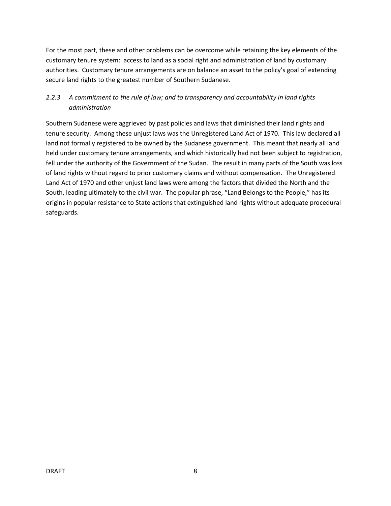For the most part, these and other problems can be overcome while retaining the key elements of the customary tenure system: access to land as a social right and administration of land by customary authorities. Customary tenure arrangements are on balance an asset to the policy's goal of extending secure land rights to the greatest number of Southern Sudanese.

# *2.2.3 A commitment to the rule of law; and to transparency and accountability in land rights administration*

Southern Sudanese were aggrieved by past policies and laws that diminished their land rights and tenure security. Among these unjust laws was the Unregistered Land Act of 1970. This law declared all land not formally registered to be owned by the Sudanese government. This meant that nearly all land held under customary tenure arrangements, and which historically had not been subject to registration, fell under the authority of the Government of the Sudan. The result in many parts of the South was loss of land rights without regard to prior customary claims and without compensation. The Unregistered Land Act of 1970 and other unjust land laws were among the factors that divided the North and the South, leading ultimately to the civil war. The popular phrase, "Land Belongs to the People," has its origins in popular resistance to State actions that extinguished land rights without adequate procedural safeguards.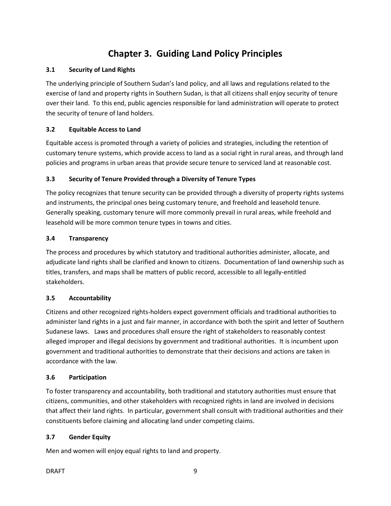# **Chapter 3. Guiding Land Policy Principles**

## **3.1 Security of Land Rights**

The underlying principle of Southern Sudan's land policy, and all laws and regulations related to the exercise of land and property rights in Southern Sudan, is that all citizens shall enjoy security of tenure over their land. To this end, public agencies responsible for land administration will operate to protect the security of tenure of land holders.

## **3.2 Equitable Access to Land**

Equitable access is promoted through a variety of policies and strategies, including the retention of customary tenure systems, which provide access to land as a social right in rural areas, and through land policies and programs in urban areas that provide secure tenure to serviced land at reasonable cost.

# **3.3 Security of Tenure Provided through a Diversity of Tenure Types**

The policy recognizes that tenure security can be provided through a diversity of property rights systems and instruments, the principal ones being customary tenure, and freehold and leasehold tenure. Generally speaking, customary tenure will more commonly prevail in rural areas, while freehold and leasehold will be more common tenure types in towns and cities.

## **3.4 Transparency**

The process and procedures by which statutory and traditional authorities administer, allocate, and adjudicate land rights shall be clarified and known to citizens. Documentation of land ownership such as titles, transfers, and maps shall be matters of public record, accessible to all legally-entitled stakeholders.

## **3.5 Accountability**

Citizens and other recognized rights-holders expect government officials and traditional authorities to administer land rights in a just and fair manner, in accordance with both the spirit and letter of Southern Sudanese laws. Laws and procedures shall ensure the right of stakeholders to reasonably contest alleged improper and illegal decisions by government and traditional authorities. It is incumbent upon government and traditional authorities to demonstrate that their decisions and actions are taken in accordance with the law.

## **3.6 Participation**

To foster transparency and accountability, both traditional and statutory authorities must ensure that citizens, communities, and other stakeholders with recognized rights in land are involved in decisions that affect their land rights. In particular, government shall consult with traditional authorities and their constituents before claiming and allocating land under competing claims.

## **3.7 Gender Equity**

Men and women will enjoy equal rights to land and property.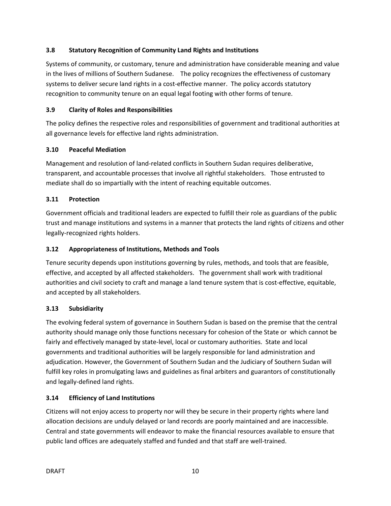## **3.8 Statutory Recognition of Community Land Rights and Institutions**

Systems of community, or customary, tenure and administration have considerable meaning and value in the lives of millions of Southern Sudanese. The policy recognizes the effectiveness of customary systems to deliver secure land rights in a cost-effective manner. The policy accords statutory recognition to community tenure on an equal legal footing with other forms of tenure.

#### **3.9 Clarity of Roles and Responsibilities**

The policy defines the respective roles and responsibilities of government and traditional authorities at all governance levels for effective land rights administration.

## **3.10 Peaceful Mediation**

Management and resolution of land-related conflicts in Southern Sudan requires deliberative, transparent, and accountable processes that involve all rightful stakeholders. Those entrusted to mediate shall do so impartially with the intent of reaching equitable outcomes.

#### **3.11 Protection**

Government officials and traditional leaders are expected to fulfill their role as guardians of the public trust and manage institutions and systems in a manner that protects the land rights of citizens and other legally-recognized rights holders.

#### **3.12 Appropriateness of Institutions, Methods and Tools**

Tenure security depends upon institutions governing by rules, methods, and tools that are feasible, effective, and accepted by all affected stakeholders. The government shall work with traditional authorities and civil society to craft and manage a land tenure system that is cost-effective, equitable, and accepted by all stakeholders.

## **3.13 Subsidiarity**

The evolving federal system of governance in Southern Sudan is based on the premise that the central authority should manage only those functions necessary for cohesion of the State or which cannot be fairly and effectively managed by state-level, local or customary authorities. State and local governments and traditional authorities will be largely responsible for land administration and adjudication. However, the Government of Southern Sudan and the Judiciary of Southern Sudan will fulfill key roles in promulgating laws and guidelines as final arbiters and guarantors of constitutionally and legally-defined land rights.

## **3.14 Efficiency of Land Institutions**

Citizens will not enjoy access to property nor will they be secure in their property rights where land allocation decisions are unduly delayed or land records are poorly maintained and are inaccessible. Central and state governments will endeavor to make the financial resources available to ensure that public land offices are adequately staffed and funded and that staff are well-trained.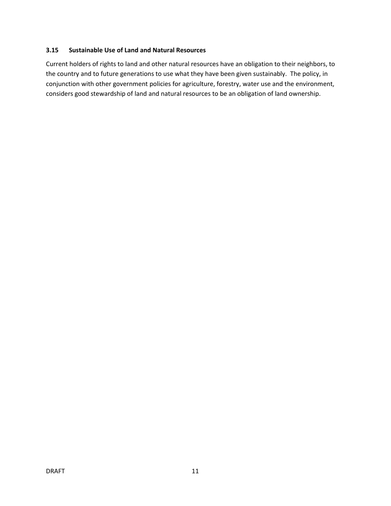#### **3.15 Sustainable Use of Land and Natural Resources**

Current holders of rights to land and other natural resources have an obligation to their neighbors, to the country and to future generations to use what they have been given sustainably. The policy, in conjunction with other government policies for agriculture, forestry, water use and the environment, considers good stewardship of land and natural resources to be an obligation of land ownership.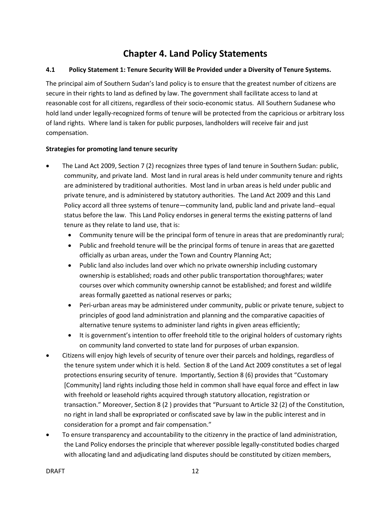# **Chapter 4. Land Policy Statements**

#### **4.1 Policy Statement 1: Tenure Security Will Be Provided under a Diversity of Tenure Systems.**

The principal aim of Southern Sudan's land policy is to ensure that the greatest number of citizens are secure in their rights to land as defined by law. The government shall facilitate access to land at reasonable cost for all citizens, regardless of their socio-economic status. All Southern Sudanese who hold land under legally-recognized forms of tenure will be protected from the capricious or arbitrary loss of land rights. Where land is taken for public purposes, landholders will receive fair and just compensation.

#### **Strategies for promoting land tenure security**

- The Land Act 2009, Section 7 (2) recognizes three types of land tenure in Southern Sudan: public, community, and private land. Most land in rural areas is held under community tenure and rights are administered by traditional authorities. Most land in urban areas is held under public and private tenure, and is administered by statutory authorities. The Land Act 2009 and this Land Policy accord all three systems of tenure—community land, public land and private land--equal status before the law. This Land Policy endorses in general terms the existing patterns of land tenure as they relate to land use, that is:
	- Community tenure will be the principal form of tenure in areas that are predominantly rural;
	- Public and freehold tenure will be the principal forms of tenure in areas that are gazetted officially as urban areas, under the Town and Country Planning Act;
	- Public land also includes land over which no private ownership including customary ownership is established; roads and other public transportation thoroughfares; water courses over which community ownership cannot be established; and forest and wildlife areas formally gazetted as national reserves or parks;
	- Peri-urban areas may be administered under community, public or private tenure, subject to principles of good land administration and planning and the comparative capacities of alternative tenure systems to administer land rights in given areas efficiently;
	- It is government's intention to offer freehold title to the original holders of customary rights on community land converted to state land for purposes of urban expansion.
- Citizens will enjoy high levels of security of tenure over their parcels and holdings, regardless of the tenure system under which it is held. Section 8 of the Land Act 2009 constitutes a set of legal protections ensuring security of tenure. Importantly, Section 8 (6) provides that "Customary [Community] land rights including those held in common shall have equal force and effect in law with freehold or leasehold rights acquired through statutory allocation, registration or transaction." Moreover, Section 8 (2 ) provides that "Pursuant to Article 32 (2) of the Constitution, no right in land shall be expropriated or confiscated save by law in the public interest and in consideration for a prompt and fair compensation."
- To ensure transparency and accountability to the citizenry in the practice of land administration, the Land Policy endorses the principle that wherever possible legally-constituted bodies charged with allocating land and adjudicating land disputes should be constituted by citizen members,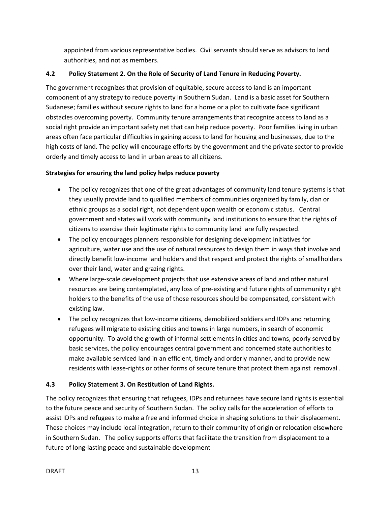appointed from various representative bodies. Civil servants should serve as advisors to land authorities, and not as members.

# **4.2 Policy Statement 2. On the Role of Security of Land Tenure in Reducing Poverty.**

The government recognizes that provision of equitable, secure access to land is an important component of any strategy to reduce poverty in Southern Sudan. Land is a basic asset for Southern Sudanese; families without secure rights to land for a home or a plot to cultivate face significant obstacles overcoming poverty. Community tenure arrangements that recognize access to land as a social right provide an important safety net that can help reduce poverty. Poor families living in urban areas often face particular difficulties in gaining access to land for housing and businesses, due to the high costs of land. The policy will encourage efforts by the government and the private sector to provide orderly and timely access to land in urban areas to all citizens.

# **Strategies for ensuring the land policy helps reduce poverty**

- The policy recognizes that one of the great advantages of community land tenure systems is that they usually provide land to qualified members of communities organized by family, clan or ethnic groups as a social right, not dependent upon wealth or economic status. Central government and states will work with community land institutions to ensure that the rights of citizens to exercise their legitimate rights to community land are fully respected.
- The policy encourages planners responsible for designing development initiatives for agriculture, water use and the use of natural resources to design them in ways that involve and directly benefit low-income land holders and that respect and protect the rights of smallholders over their land, water and grazing rights.
- Where large-scale development projects that use extensive areas of land and other natural resources are being contemplated, any loss of pre-existing and future rights of community right holders to the benefits of the use of those resources should be compensated, consistent with existing law.
- The policy recognizes that low-income citizens, demobilized soldiers and IDPs and returning refugees will migrate to existing cities and towns in large numbers, in search of economic opportunity. To avoid the growth of informal settlements in cities and towns, poorly served by basic services, the policy encourages central government and concerned state authorities to make available serviced land in an efficient, timely and orderly manner, and to provide new residents with lease-rights or other forms of secure tenure that protect them against removal .

# **4.3 Policy Statement 3. On Restitution of Land Rights.**

The policy recognizes that ensuring that refugees, IDPs and returnees have secure land rights is essential to the future peace and security of Southern Sudan. The policy calls for the acceleration of efforts to assist IDPs and refugees to make a free and informed choice in shaping solutions to their displacement. These choices may include local integration, return to their community of origin or relocation elsewhere in Southern Sudan. The policy supports efforts that facilitate the transition from displacement to a future of long-lasting peace and sustainable development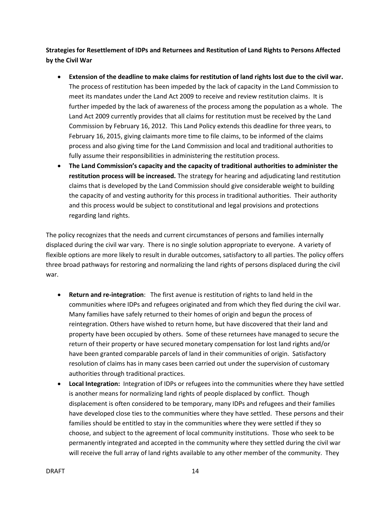**Strategies for Resettlement of IDPs and Returnees and Restitution of Land Rights to Persons Affected by the Civil War**

- **Extension of the deadline to make claims for restitution of land rights lost due to the civil war.**  The process of restitution has been impeded by the lack of capacity in the Land Commission to meet its mandates under the Land Act 2009 to receive and review restitution claims. It is further impeded by the lack of awareness of the process among the population as a whole. The Land Act 2009 currently provides that all claims for restitution must be received by the Land Commission by February 16, 2012. This Land Policy extends this deadline for three years, to February 16, 2015, giving claimants more time to file claims, to be informed of the claims process and also giving time for the Land Commission and local and traditional authorities to fully assume their responsibilities in administering the restitution process.
- **The Land Commission's capacity and the capacity of traditional authorities to administer the restitution process will be increased.** The strategy for hearing and adjudicating land restitution claims that is developed by the Land Commission should give considerable weight to building the capacity of and vesting authority for this process in traditional authorities. Their authority and this process would be subject to constitutional and legal provisions and protections regarding land rights.

The policy recognizes that the needs and current circumstances of persons and families internally displaced during the civil war vary. There is no single solution appropriate to everyone. A variety of flexible options are more likely to result in durable outcomes, satisfactory to all parties. The policy offers three broad pathways for restoring and normalizing the land rights of persons displaced during the civil war.

- **Return and re-integration**: The first avenue is restitution of rights to land held in the communities where IDPs and refugees originated and from which they fled during the civil war. Many families have safely returned to their homes of origin and begun the process of reintegration. Others have wished to return home, but have discovered that their land and property have been occupied by others. Some of these returnees have managed to secure the return of their property or have secured monetary compensation for lost land rights and/or have been granted comparable parcels of land in their communities of origin. Satisfactory resolution of claims has in many cases been carried out under the supervision of customary authorities through traditional practices.
- **Local Integration:** Integration of IDPs or refugees into the communities where they have settled is another means for normalizing land rights of people displaced by conflict. Though displacement is often considered to be temporary, many IDPs and refugees and their families have developed close ties to the communities where they have settled. These persons and their families should be entitled to stay in the communities where they were settled if they so choose, and subject to the agreement of local community institutions. Those who seek to be permanently integrated and accepted in the community where they settled during the civil war will receive the full array of land rights available to any other member of the community. They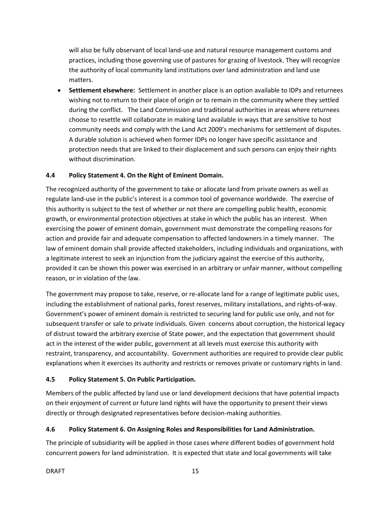will also be fully observant of local land-use and natural resource management customs and practices, including those governing use of pastures for grazing of livestock. They will recognize the authority of local community land institutions over land administration and land use matters.

 **Settlement elsewhere:** Settlement in another place is an option available to IDPs and returnees wishing not to return to their place of origin or to remain in the community where they settled during the conflict. The Land Commission and traditional authorities in areas where returnees choose to resettle will collaborate in making land available in ways that are sensitive to host community needs and comply with the Land Act 2009's mechanisms for settlement of disputes. A durable solution is achieved when former IDPs no longer have specific assistance and protection needs that are linked to their displacement and such persons can enjoy their rights without discrimination.

## **4.4 Policy Statement 4. On the Right of Eminent Domain.**

The recognized authority of the government to take or allocate land from private owners as well as regulate land-use in the public's interest is a common tool of governance worldwide. The exercise of this authority is subject to the test of whether or not there are compelling public health, economic growth, or environmental protection objectives at stake in which the public has an interest. When exercising the power of eminent domain, government must demonstrate the compelling reasons for action and provide fair and adequate compensation to affected landowners in a timely manner. The law of eminent domain shall provide affected stakeholders, including individuals and organizations, with a legitimate interest to seek an injunction from the judiciary against the exercise of this authority, provided it can be shown this power was exercised in an arbitrary or unfair manner, without compelling reason, or in violation of the law.

The government may propose to take, reserve, or re-allocate land for a range of legitimate public uses, including the establishment of national parks, forest reserves, military installations, and rights-of-way. Government's power of eminent domain is restricted to securing land for public use only, and not for subsequent transfer or sale to private individuals. Given concerns about corruption, the historical legacy of distrust toward the arbitrary exercise of State power, and the expectation that government should act in the interest of the wider public, government at all levels must exercise this authority with restraint, transparency, and accountability. Government authorities are required to provide clear public explanations when it exercises its authority and restricts or removes private or customary rights in land.

## **4.5 Policy Statement 5. On Public Participation.**

Members of the public affected by land use or land development decisions that have potential impacts on their enjoyment of current or future land rights will have the opportunity to present their views directly or through designated representatives before decision-making authorities.

## **4.6 Policy Statement 6. On Assigning Roles and Responsibilities for Land Administration.**

The principle of subsidiarity will be applied in those cases where different bodies of government hold concurrent powers for land administration. It is expected that state and local governments will take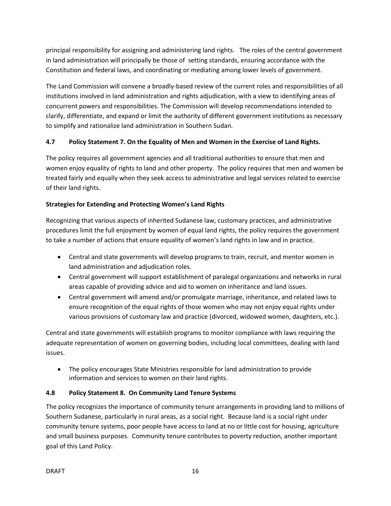principal responsibility for assigning and administering land rights. The roles of the central government in land administration will principally be those of setting standards, ensuring accordance with the Constitution and federal laws, and coordinating or mediating among lower levels of government.

The Land Commission will convene a broadly-based review of the current roles and responsibilities of all institutions involved in land administration and rights adjudication, with a view to identifying areas of concurrent powers and responsibilities. The Commission will develop recommendations intended to clarify, differentiate, and expand or limit the authority of different government institutions as necessary to simplify and rationalize land administration in Southern Sudan.

# **4.7 Policy Statement 7. On the Equality of Men and Women in the Exercise of Land Rights.**

The policy requires all government agencies and all traditional authorities to ensure that men and women enjoy equality of rights to land and other property. The policy requires that men and women be treated fairly and equally when they seek access to administrative and legal services related to exercise of their land rights.

# **Strategies for Extending and Protecting Women's Land Rights**

Recognizing that various aspects of inherited Sudanese law, customary practices, and administrative procedures limit the full enjoyment by women of equal land rights, the policy requires the government to take a number of actions that ensure equality of women's land rights in law and in practice.

- Central and state governments will develop programs to train, recruit, and mentor women in land administration and adjudication roles.
- Central government will support establishment of paralegal organizations and networks in rural areas capable of providing advice and aid to women on inheritance and land issues.
- Central government will amend and/or promulgate marriage, inheritance, and related laws to ensure recognition of the equal rights of those women who may not enjoy equal rights under various provisions of customary law and practice (divorced, widowed women, daughters, etc.).

Central and state governments will establish programs to monitor compliance with laws requiring the adequate representation of women on governing bodies, including local committees, dealing with land issues.

 The policy encourages State Ministries responsible for land administration to provide information and services to women on their land rights.

## **4.8 Policy Statement 8. On Community Land Tenure Systems**

The policy recognizes the importance of community tenure arrangements in providing land to millions of Southern Sudanese, particularly in rural areas, as a social right. Because land is a social right under community tenure systems, poor people have access to land at no or little cost for housing, agriculture and small business purposes. Community tenure contributes to poverty reduction, another important goal of this Land Policy.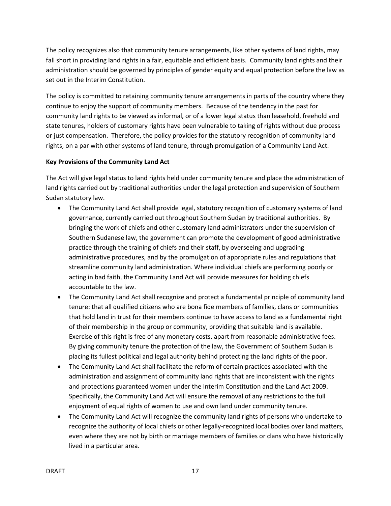The policy recognizes also that community tenure arrangements, like other systems of land rights, may fall short in providing land rights in a fair, equitable and efficient basis. Community land rights and their administration should be governed by principles of gender equity and equal protection before the law as set out in the Interim Constitution.

The policy is committed to retaining community tenure arrangements in parts of the country where they continue to enjoy the support of community members. Because of the tendency in the past for community land rights to be viewed as informal, or of a lower legal status than leasehold, freehold and state tenures, holders of customary rights have been vulnerable to taking of rights without due process or just compensation. Therefore, the policy provides for the statutory recognition of community land rights, on a par with other systems of land tenure, through promulgation of a Community Land Act.

# **Key Provisions of the Community Land Act**

The Act will give legal status to land rights held under community tenure and place the administration of land rights carried out by traditional authorities under the legal protection and supervision of Southern Sudan statutory law.

- The Community Land Act shall provide legal, statutory recognition of customary systems of land governance, currently carried out throughout Southern Sudan by traditional authorities. By bringing the work of chiefs and other customary land administrators under the supervision of Southern Sudanese law, the government can promote the development of good administrative practice through the training of chiefs and their staff, by overseeing and upgrading administrative procedures, and by the promulgation of appropriate rules and regulations that streamline community land administration. Where individual chiefs are performing poorly or acting in bad faith, the Community Land Act will provide measures for holding chiefs accountable to the law.
- The Community Land Act shall recognize and protect a fundamental principle of community land tenure: that all qualified citizens who are bona fide members of families, clans or communities that hold land in trust for their members continue to have access to land as a fundamental right of their membership in the group or community, providing that suitable land is available. Exercise of this right is free of any monetary costs, apart from reasonable administrative fees. By giving community tenure the protection of the law, the Government of Southern Sudan is placing its fullest political and legal authority behind protecting the land rights of the poor.
- The Community Land Act shall facilitate the reform of certain practices associated with the administration and assignment of community land rights that are inconsistent with the rights and protections guaranteed women under the Interim Constitution and the Land Act 2009. Specifically, the Community Land Act will ensure the removal of any restrictions to the full enjoyment of equal rights of women to use and own land under community tenure.
- The Community Land Act will recognize the community land rights of persons who undertake to recognize the authority of local chiefs or other legally-recognized local bodies over land matters, even where they are not by birth or marriage members of families or clans who have historically lived in a particular area.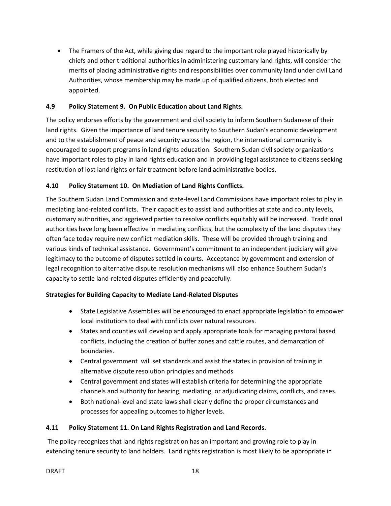• The Framers of the Act, while giving due regard to the important role played historically by chiefs and other traditional authorities in administering customary land rights, will consider the merits of placing administrative rights and responsibilities over community land under civil Land Authorities, whose membership may be made up of qualified citizens, both elected and appointed.

## **4.9 Policy Statement 9. On Public Education about Land Rights.**

The policy endorses efforts by the government and civil society to inform Southern Sudanese of their land rights. Given the importance of land tenure security to Southern Sudan's economic development and to the establishment of peace and security across the region, the international community is encouraged to support programs in land rights education. Southern Sudan civil society organizations have important roles to play in land rights education and in providing legal assistance to citizens seeking restitution of lost land rights or fair treatment before land administrative bodies.

## **4.10 Policy Statement 10. On Mediation of Land Rights Conflicts.**

The Southern Sudan Land Commission and state-level Land Commissions have important roles to play in mediating land-related conflicts. Their capacities to assist land authorities at state and county levels, customary authorities, and aggrieved parties to resolve conflicts equitably will be increased. Traditional authorities have long been effective in mediating conflicts, but the complexity of the land disputes they often face today require new conflict mediation skills. These will be provided through training and various kinds of technical assistance. Government's commitment to an independent judiciary will give legitimacy to the outcome of disputes settled in courts. Acceptance by government and extension of legal recognition to alternative dispute resolution mechanisms will also enhance Southern Sudan's capacity to settle land-related disputes efficiently and peacefully.

## **Strategies for Building Capacity to Mediate Land-Related Disputes**

- State Legislative Assemblies will be encouraged to enact appropriate legislation to empower local institutions to deal with conflicts over natural resources.
- States and counties will develop and apply appropriate tools for managing pastoral based conflicts, including the creation of buffer zones and cattle routes, and demarcation of boundaries.
- Central government will set standards and assist the states in provision of training in alternative dispute resolution principles and methods
- Central government and states will establish criteria for determining the appropriate channels and authority for hearing, mediating, or adjudicating claims, conflicts, and cases.
- Both national-level and state laws shall clearly define the proper circumstances and processes for appealing outcomes to higher levels.

# **4.11 Policy Statement 11. On Land Rights Registration and Land Records.**

The policy recognizes that land rights registration has an important and growing role to play in extending tenure security to land holders. Land rights registration is most likely to be appropriate in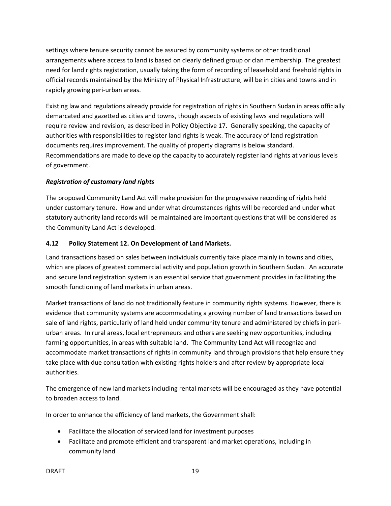settings where tenure security cannot be assured by community systems or other traditional arrangements where access to land is based on clearly defined group or clan membership. The greatest need for land rights registration, usually taking the form of recording of leasehold and freehold rights in official records maintained by the Ministry of Physical Infrastructure, will be in cities and towns and in rapidly growing peri-urban areas.

Existing law and regulations already provide for registration of rights in Southern Sudan in areas officially demarcated and gazetted as cities and towns, though aspects of existing laws and regulations will require review and revision, as described in Policy Objective 17. Generally speaking, the capacity of authorities with responsibilities to register land rights is weak. The accuracy of land registration documents requires improvement. The quality of property diagrams is below standard. Recommendations are made to develop the capacity to accurately register land rights at various levels of government.

# *Registration of customary land rights*

The proposed Community Land Act will make provision for the progressive recording of rights held under customary tenure. How and under what circumstances rights will be recorded and under what statutory authority land records will be maintained are important questions that will be considered as the Community Land Act is developed.

# **4.12 Policy Statement 12. On Development of Land Markets.**

Land transactions based on sales between individuals currently take place mainly in towns and cities, which are places of greatest commercial activity and population growth in Southern Sudan. An accurate and secure land registration system is an essential service that government provides in facilitating the smooth functioning of land markets in urban areas.

Market transactions of land do not traditionally feature in community rights systems. However, there is evidence that community systems are accommodating a growing number of land transactions based on sale of land rights, particularly of land held under community tenure and administered by chiefs in periurban areas. In rural areas, local entrepreneurs and others are seeking new opportunities, including farming opportunities, in areas with suitable land. The Community Land Act will recognize and accommodate market transactions of rights in community land through provisions that help ensure they take place with due consultation with existing rights holders and after review by appropriate local authorities.

The emergence of new land markets including rental markets will be encouraged as they have potential to broaden access to land.

In order to enhance the efficiency of land markets, the Government shall:

- Facilitate the allocation of serviced land for investment purposes
- Facilitate and promote efficient and transparent land market operations, including in community land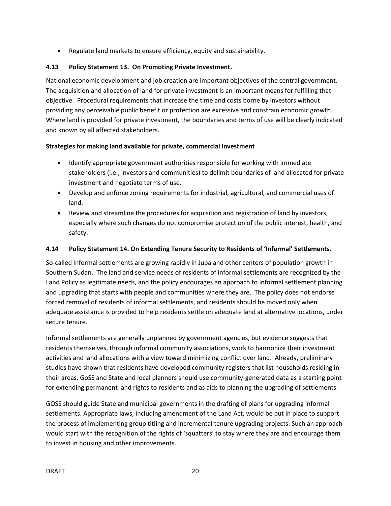Regulate land markets to ensure efficiency, equity and sustainability.

## **4.13 Policy Statement 13. On Promoting Private Investment.**

National economic development and job creation are important objectives of the central government. The acquisition and allocation of land for private investment is an important means for fulfilling that objective. Procedural requirements that increase the time and costs borne by investors without providing any perceivable public benefit or protection are excessive and constrain economic growth. Where land is provided for private investment, the boundaries and terms of use will be clearly indicated and known by all affected stakeholders.

# **Strategies for making land available for private, commercial investment**

- Identify appropriate government authorities responsible for working with immediate stakeholders (i.e., investors and communities) to delimit boundaries of land allocated for private investment and negotiate terms of use.
- Develop and enforce zoning requirements for industrial, agricultural, and commercial uses of land.
- Review and streamline the procedures for acquisition and registration of land by investors, especially where such changes do not compromise protection of the public interest, health, and safety.

## **4.14 Policy Statement 14. On Extending Tenure Security to Residents of 'Informal' Settlements.**

So-called informal settlements are growing rapidly in Juba and other centers of population growth in Southern Sudan. The land and service needs of residents of informal settlements are recognized by the Land Policy as legitimate needs, and the policy encourages an approach to informal settlement planning and upgrading that starts with people and communities where they are. The policy does not endorse forced removal of residents of informal settlements, and residents should be moved only when adequate assistance is provided to help residents settle on adequate land at alternative locations, under secure tenure.

Informal settlements are generally unplanned by government agencies, but evidence suggests that residents themselves, through informal community associations, work to harmonize their investment activities and land allocations with a view toward minimizing conflict over land. Already, preliminary studies have shown that residents have developed community registers that list households residing in their areas. GoSS and State and local planners should use community-generated data as a starting point for extending permanent land rights to residents and as aids to planning the upgrading of settlements.

GOSS should guide State and municipal governments in the drafting of plans for upgrading informal settlements. Appropriate laws, including amendment of the Land Act, would be put in place to support the process of implementing group titling and incremental tenure upgrading projects. Such an approach would start with the recognition of the rights of 'squatters' to stay where they are and encourage them to invest in housing and other improvements.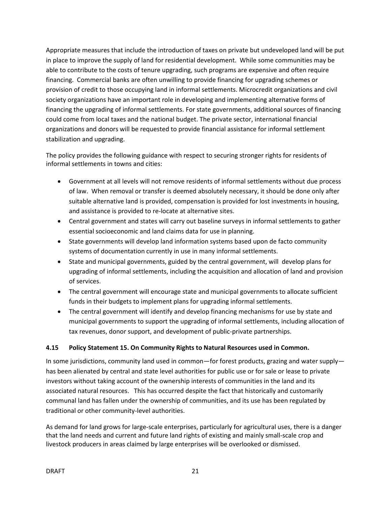Appropriate measures that include the introduction of taxes on private but undeveloped land will be put in place to improve the supply of land for residential development. While some communities may be able to contribute to the costs of tenure upgrading, such programs are expensive and often require financing. Commercial banks are often unwilling to provide financing for upgrading schemes or provision of credit to those occupying land in informal settlements. Microcredit organizations and civil society organizations have an important role in developing and implementing alternative forms of financing the upgrading of informal settlements. For state governments, additional sources of financing could come from local taxes and the national budget. The private sector, international financial organizations and donors will be requested to provide financial assistance for informal settlement stabilization and upgrading.

The policy provides the following guidance with respect to securing stronger rights for residents of informal settlements in towns and cities:

- Government at all levels will not remove residents of informal settlements without due process of law. When removal or transfer is deemed absolutely necessary, it should be done only after suitable alternative land is provided, compensation is provided for lost investments in housing, and assistance is provided to re-locate at alternative sites.
- Central government and states will carry out baseline surveys in informal settlements to gather essential socioeconomic and land claims data for use in planning.
- State governments will develop land information systems based upon de facto community systems of documentation currently in use in many informal settlements.
- State and municipal governments, guided by the central government, will develop plans for upgrading of informal settlements, including the acquisition and allocation of land and provision of services.
- The central government will encourage state and municipal governments to allocate sufficient funds in their budgets to implement plans for upgrading informal settlements.
- The central government will identify and develop financing mechanisms for use by state and municipal governments to support the upgrading of informal settlements, including allocation of tax revenues, donor support, and development of public-private partnerships.

# **4.15 Policy Statement 15. On Community Rights to Natural Resources used in Common.**

In some jurisdictions, community land used in common—for forest products, grazing and water supply has been alienated by central and state level authorities for public use or for sale or lease to private investors without taking account of the ownership interests of communities in the land and its associated natural resources. This has occurred despite the fact that historically and customarily communal land has fallen under the ownership of communities, and its use has been regulated by traditional or other community-level authorities.

As demand for land grows for large-scale enterprises, particularly for agricultural uses, there is a danger that the land needs and current and future land rights of existing and mainly small-scale crop and livestock producers in areas claimed by large enterprises will be overlooked or dismissed.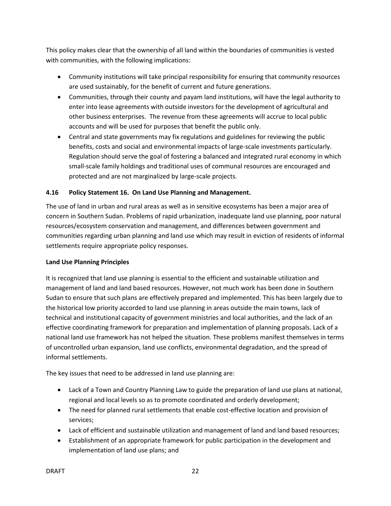This policy makes clear that the ownership of all land within the boundaries of communities is vested with communities, with the following implications:

- Community institutions will take principal responsibility for ensuring that community resources are used sustainably, for the benefit of current and future generations.
- Communities, through their county and payam land institutions, will have the legal authority to enter into lease agreements with outside investors for the development of agricultural and other business enterprises. The revenue from these agreements will accrue to local public accounts and will be used for purposes that benefit the public only.
- Central and state governments may fix regulations and guidelines for reviewing the public benefits, costs and social and environmental impacts of large-scale investments particularly. Regulation should serve the goal of fostering a balanced and integrated rural economy in which small-scale family holdings and traditional uses of communal resources are encouraged and protected and are not marginalized by large-scale projects.

# **4.16 Policy Statement 16. On Land Use Planning and Management.**

The use of land in urban and rural areas as well as in sensitive ecosystems has been a major area of concern in Southern Sudan. Problems of rapid urbanization, inadequate land use planning, poor natural resources/ecosystem conservation and management, and differences between government and communities regarding urban planning and land use which may result in eviction of residents of informal settlements require appropriate policy responses.

## **Land Use Planning Principles**

It is recognized that land use planning is essential to the efficient and sustainable utilization and management of land and land based resources. However, not much work has been done in Southern Sudan to ensure that such plans are effectively prepared and implemented. This has been largely due to the historical low priority accorded to land use planning in areas outside the main towns, lack of technical and institutional capacity of government ministries and local authorities, and the lack of an effective coordinating framework for preparation and implementation of planning proposals. Lack of a national land use framework has not helped the situation. These problems manifest themselves in terms of uncontrolled urban expansion, land use conflicts, environmental degradation, and the spread of informal settlements.

The key issues that need to be addressed in land use planning are:

- Lack of a Town and Country Planning Law to guide the preparation of land use plans at national, regional and local levels so as to promote coordinated and orderly development;
- The need for planned rural settlements that enable cost-effective location and provision of services;
- Lack of efficient and sustainable utilization and management of land and land based resources;
- Establishment of an appropriate framework for public participation in the development and implementation of land use plans; and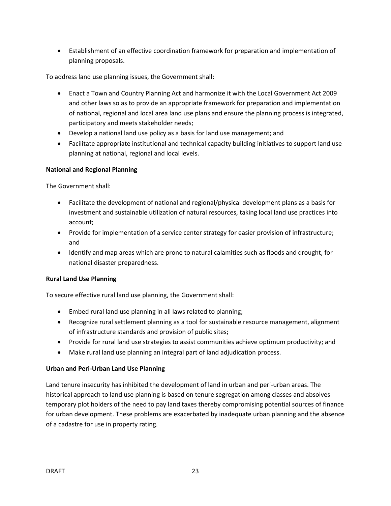Establishment of an effective coordination framework for preparation and implementation of planning proposals.

To address land use planning issues, the Government shall:

- Enact a Town and Country Planning Act and harmonize it with the Local Government Act 2009 and other laws so as to provide an appropriate framework for preparation and implementation of national, regional and local area land use plans and ensure the planning process is integrated, participatory and meets stakeholder needs;
- Develop a national land use policy as a basis for land use management; and
- Facilitate appropriate institutional and technical capacity building initiatives to support land use planning at national, regional and local levels.

#### **National and Regional Planning**

The Government shall:

- Facilitate the development of national and regional/physical development plans as a basis for investment and sustainable utilization of natural resources, taking local land use practices into account;
- Provide for implementation of a service center strategy for easier provision of infrastructure; and
- Identify and map areas which are prone to natural calamities such as floods and drought, for national disaster preparedness.

#### **Rural Land Use Planning**

To secure effective rural land use planning, the Government shall:

- Embed rural land use planning in all laws related to planning;
- Recognize rural settlement planning as a tool for sustainable resource management, alignment of infrastructure standards and provision of public sites;
- Provide for rural land use strategies to assist communities achieve optimum productivity; and
- Make rural land use planning an integral part of land adjudication process.

## **Urban and Peri-Urban Land Use Planning**

Land tenure insecurity has inhibited the development of land in urban and peri-urban areas. The historical approach to land use planning is based on tenure segregation among classes and absolves temporary plot holders of the need to pay land taxes thereby compromising potential sources of finance for urban development. These problems are exacerbated by inadequate urban planning and the absence of a cadastre for use in property rating.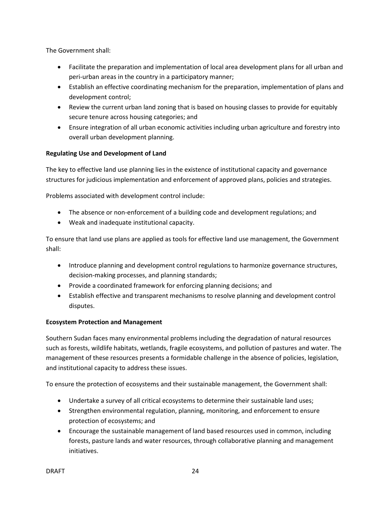The Government shall:

- Facilitate the preparation and implementation of local area development plans for all urban and peri-urban areas in the country in a participatory manner;
- Establish an effective coordinating mechanism for the preparation, implementation of plans and development control;
- Review the current urban land zoning that is based on housing classes to provide for equitably secure tenure across housing categories; and
- Ensure integration of all urban economic activities including urban agriculture and forestry into overall urban development planning.

#### **Regulating Use and Development of Land**

The key to effective land use planning lies in the existence of institutional capacity and governance structures for judicious implementation and enforcement of approved plans, policies and strategies.

Problems associated with development control include:

- The absence or non-enforcement of a building code and development regulations; and
- Weak and inadequate institutional capacity.

To ensure that land use plans are applied as tools for effective land use management, the Government shall:

- Introduce planning and development control regulations to harmonize governance structures, decision-making processes, and planning standards;
- Provide a coordinated framework for enforcing planning decisions; and
- Establish effective and transparent mechanisms to resolve planning and development control disputes.

#### **Ecosystem Protection and Management**

Southern Sudan faces many environmental problems including the degradation of natural resources such as forests, wildlife habitats, wetlands, fragile ecosystems, and pollution of pastures and water. The management of these resources presents a formidable challenge in the absence of policies, legislation, and institutional capacity to address these issues.

To ensure the protection of ecosystems and their sustainable management, the Government shall:

- Undertake a survey of all critical ecosystems to determine their sustainable land uses;
- Strengthen environmental regulation, planning, monitoring, and enforcement to ensure protection of ecosystems; and
- Encourage the sustainable management of land based resources used in common, including forests, pasture lands and water resources, through collaborative planning and management initiatives.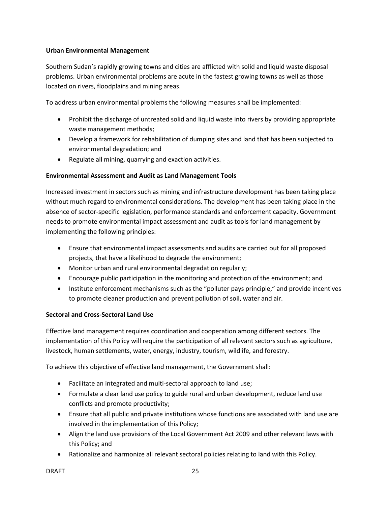#### **Urban Environmental Management**

Southern Sudan's rapidly growing towns and cities are afflicted with solid and liquid waste disposal problems. Urban environmental problems are acute in the fastest growing towns as well as those located on rivers, floodplains and mining areas.

To address urban environmental problems the following measures shall be implemented:

- Prohibit the discharge of untreated solid and liquid waste into rivers by providing appropriate waste management methods;
- Develop a framework for rehabilitation of dumping sites and land that has been subjected to environmental degradation; and
- Regulate all mining, quarrying and exaction activities.

## **Environmental Assessment and Audit as Land Management Tools**

Increased investment in sectors such as mining and infrastructure development has been taking place without much regard to environmental considerations. The development has been taking place in the absence of sector-specific legislation, performance standards and enforcement capacity. Government needs to promote environmental impact assessment and audit as tools for land management by implementing the following principles:

- Ensure that environmental impact assessments and audits are carried out for all proposed projects, that have a likelihood to degrade the environment;
- Monitor urban and rural environmental degradation regularly;
- Encourage public participation in the monitoring and protection of the environment; and
- Institute enforcement mechanisms such as the "polluter pays principle," and provide incentives to promote cleaner production and prevent pollution of soil, water and air.

## **Sectoral and Cross-Sectoral Land Use**

Effective land management requires coordination and cooperation among different sectors. The implementation of this Policy will require the participation of all relevant sectors such as agriculture, livestock, human settlements, water, energy, industry, tourism, wildlife, and forestry.

To achieve this objective of effective land management, the Government shall:

- Facilitate an integrated and multi-sectoral approach to land use;
- Formulate a clear land use policy to guide rural and urban development, reduce land use conflicts and promote productivity;
- Ensure that all public and private institutions whose functions are associated with land use are involved in the implementation of this Policy;
- Align the land use provisions of the Local Government Act 2009 and other relevant laws with this Policy; and
- Rationalize and harmonize all relevant sectoral policies relating to land with this Policy.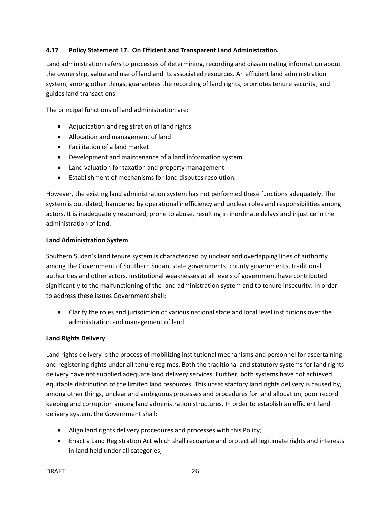## **4.17 Policy Statement 17. On Efficient and Transparent Land Administration.**

Land administration refers to processes of determining, recording and disseminating information about the ownership, value and use of land and its associated resources. An efficient land administration system, among other things, guarantees the recording of land rights, promotes tenure security, and guides land transactions.

The principal functions of land administration are:

- Adjudication and registration of land rights
- Allocation and management of land
- Facilitation of a land market
- Development and maintenance of a land information system
- Land valuation for taxation and property management
- Establishment of mechanisms for land disputes resolution.

However, the existing land administration system has not performed these functions adequately. The system is out-dated, hampered by operational inefficiency and unclear roles and responsibilities among actors. It is inadequately resourced, prone to abuse, resulting in inordinate delays and injustice in the administration of land.

#### **Land Administration System**

Southern Sudan's land tenure system is characterized by unclear and overlapping lines of authority among the Government of Southern Sudan, state governments, county governments, traditional authorities and other actors. Institutional weaknesses at all levels of government have contributed significantly to the malfunctioning of the land administration system and to tenure insecurity. In order to address these issues Government shall:

 Clarify the roles and jurisdiction of various national state and local level institutions over the administration and management of land.

#### **Land Rights Delivery**

Land rights delivery is the process of mobilizing institutional mechanisms and personnel for ascertaining and registering rights under all tenure regimes. Both the traditional and statutory systems for land rights delivery have not supplied adequate land delivery services. Further, both systems have not achieved equitable distribution of the limited land resources. This unsatisfactory land rights delivery is caused by, among other things, unclear and ambiguous processes and procedures for land allocation, poor record keeping and corruption among land administration structures. In order to establish an efficient land delivery system, the Government shall:

- Align land rights delivery procedures and processes with this Policy;
- Enact a Land Registration Act which shall recognize and protect all legitimate rights and interests in land held under all categories;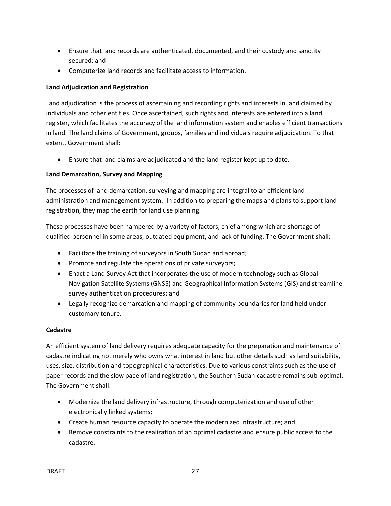- Ensure that land records are authenticated, documented, and their custody and sanctity secured; and
- Computerize land records and facilitate access to information.

## **Land Adjudication and Registration**

Land adjudication is the process of ascertaining and recording rights and interests in land claimed by individuals and other entities. Once ascertained, such rights and interests are entered into a land register, which facilitates the accuracy of the land information system and enables efficient transactions in land. The land claims of Government, groups, families and individuals require adjudication. To that extent, Government shall:

Ensure that land claims are adjudicated and the land register kept up to date.

## **Land Demarcation, Survey and Mapping**

The processes of land demarcation, surveying and mapping are integral to an efficient land administration and management system. In addition to preparing the maps and plans to support land registration, they map the earth for land use planning.

These processes have been hampered by a variety of factors, chief among which are shortage of qualified personnel in some areas, outdated equipment, and lack of funding. The Government shall:

- Facilitate the training of surveyors in South Sudan and abroad;
- Promote and regulate the operations of private surveyors;
- Enact a Land Survey Act that incorporates the use of modern technology such as Global Navigation Satellite Systems (GNSS) and Geographical Information Systems (GIS) and streamline survey authentication procedures; and
- Legally recognize demarcation and mapping of community boundaries for land held under customary tenure.

#### **Cadastre**

An efficient system of land delivery requires adequate capacity for the preparation and maintenance of cadastre indicating not merely who owns what interest in land but other details such as land suitability, uses, size, distribution and topographical characteristics. Due to various constraints such as the use of paper records and the slow pace of land registration, the Southern Sudan cadastre remains sub-optimal. The Government shall:

- Modernize the land delivery infrastructure, through computerization and use of other electronically linked systems;
- Create human resource capacity to operate the modernized infrastructure; and
- Remove constraints to the realization of an optimal cadastre and ensure public access to the cadastre.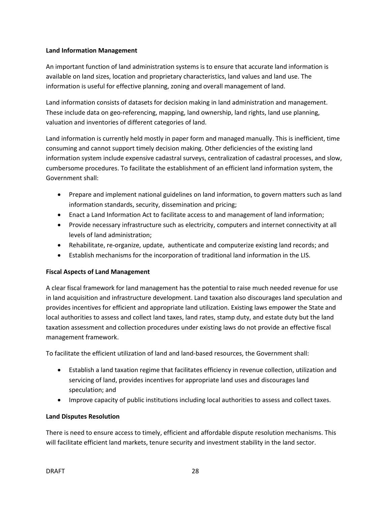#### **Land Information Management**

An important function of land administration systems is to ensure that accurate land information is available on land sizes, location and proprietary characteristics, land values and land use. The information is useful for effective planning, zoning and overall management of land.

Land information consists of datasets for decision making in land administration and management. These include data on geo-referencing, mapping, land ownership, land rights, land use planning, valuation and inventories of different categories of land.

Land information is currently held mostly in paper form and managed manually. This is inefficient, time consuming and cannot support timely decision making. Other deficiencies of the existing land information system include expensive cadastral surveys, centralization of cadastral processes, and slow, cumbersome procedures. To facilitate the establishment of an efficient land information system, the Government shall:

- Prepare and implement national guidelines on land information, to govern matters such as land information standards, security, dissemination and pricing;
- Enact a Land Information Act to facilitate access to and management of land information;
- Provide necessary infrastructure such as electricity, computers and internet connectivity at all levels of land administration;
- Rehabilitate, re-organize, update, authenticate and computerize existing land records; and
- Establish mechanisms for the incorporation of traditional land information in the LIS.

## **Fiscal Aspects of Land Management**

A clear fiscal framework for land management has the potential to raise much needed revenue for use in land acquisition and infrastructure development. Land taxation also discourages land speculation and provides incentives for efficient and appropriate land utilization. Existing laws empower the State and local authorities to assess and collect land taxes, land rates, stamp duty, and estate duty but the land taxation assessment and collection procedures under existing laws do not provide an effective fiscal management framework.

To facilitate the efficient utilization of land and land-based resources, the Government shall:

- Establish a land taxation regime that facilitates efficiency in revenue collection, utilization and servicing of land, provides incentives for appropriate land uses and discourages land speculation; and
- Improve capacity of public institutions including local authorities to assess and collect taxes.

## **Land Disputes Resolution**

There is need to ensure access to timely, efficient and affordable dispute resolution mechanisms. This will facilitate efficient land markets, tenure security and investment stability in the land sector.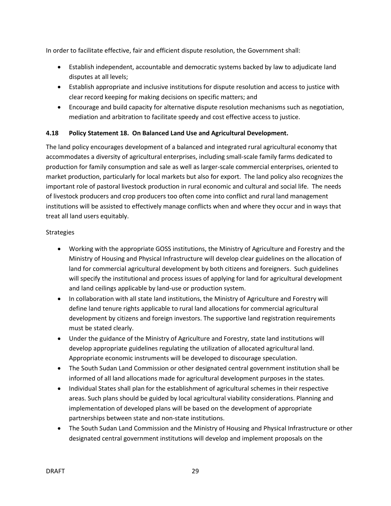In order to facilitate effective, fair and efficient dispute resolution, the Government shall:

- Establish independent, accountable and democratic systems backed by law to adjudicate land disputes at all levels;
- Establish appropriate and inclusive institutions for dispute resolution and access to justice with clear record keeping for making decisions on specific matters; and
- Encourage and build capacity for alternative dispute resolution mechanisms such as negotiation, mediation and arbitration to facilitate speedy and cost effective access to justice.

# **4.18 Policy Statement 18. On Balanced Land Use and Agricultural Development.**

The land policy encourages development of a balanced and integrated rural agricultural economy that accommodates a diversity of agricultural enterprises, including small-scale family farms dedicated to production for family consumption and sale as well as larger-scale commercial enterprises, oriented to market production, particularly for local markets but also for export. The land policy also recognizes the important role of pastoral livestock production in rural economic and cultural and social life. The needs of livestock producers and crop producers too often come into conflict and rural land management institutions will be assisted to effectively manage conflicts when and where they occur and in ways that treat all land users equitably.

#### **Strategies**

- Working with the appropriate GOSS institutions, the Ministry of Agriculture and Forestry and the Ministry of Housing and Physical Infrastructure will develop clear guidelines on the allocation of land for commercial agricultural development by both citizens and foreigners. Such guidelines will specify the institutional and process issues of applying for land for agricultural development and land ceilings applicable by land-use or production system.
- In collaboration with all state land institutions, the Ministry of Agriculture and Forestry will define land tenure rights applicable to rural land allocations for commercial agricultural development by citizens and foreign investors. The supportive land registration requirements must be stated clearly.
- Under the guidance of the Ministry of Agriculture and Forestry, state land institutions will develop appropriate guidelines regulating the utilization of allocated agricultural land. Appropriate economic instruments will be developed to discourage speculation.
- The South Sudan Land Commission or other designated central government institution shall be informed of all land allocations made for agricultural development purposes in the states.
- Individual States shall plan for the establishment of agricultural schemes in their respective areas. Such plans should be guided by local agricultural viability considerations. Planning and implementation of developed plans will be based on the development of appropriate partnerships between state and non-state institutions.
- The South Sudan Land Commission and the Ministry of Housing and Physical Infrastructure or other designated central government institutions will develop and implement proposals on the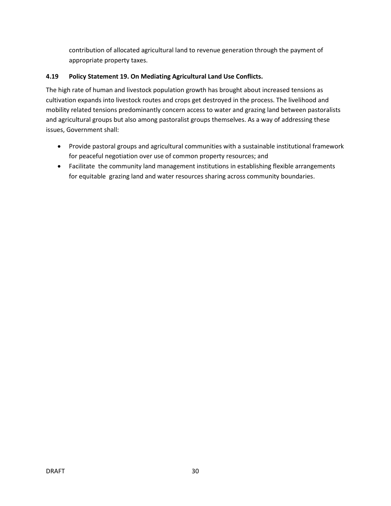contribution of allocated agricultural land to revenue generation through the payment of appropriate property taxes.

# **4.19 Policy Statement 19. On Mediating Agricultural Land Use Conflicts.**

The high rate of human and livestock population growth has brought about increased tensions as cultivation expands into livestock routes and crops get destroyed in the process. The livelihood and mobility related tensions predominantly concern access to water and grazing land between pastoralists and agricultural groups but also among pastoralist groups themselves. As a way of addressing these issues, Government shall:

- Provide pastoral groups and agricultural communities with a sustainable institutional framework for peaceful negotiation over use of common property resources; and
- Facilitate the community land management institutions in establishing flexible arrangements for equitable grazing land and water resources sharing across community boundaries.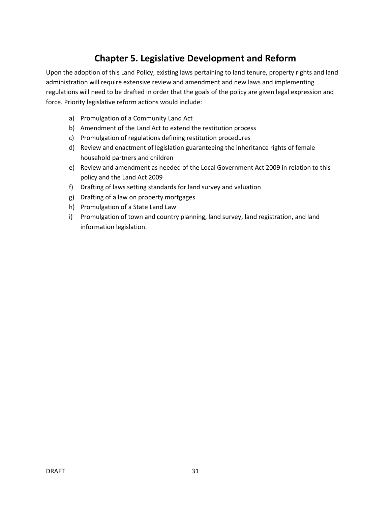# **Chapter 5. Legislative Development and Reform**

Upon the adoption of this Land Policy, existing laws pertaining to land tenure, property rights and land administration will require extensive review and amendment and new laws and implementing regulations will need to be drafted in order that the goals of the policy are given legal expression and force. Priority legislative reform actions would include:

- a) Promulgation of a Community Land Act
- b) Amendment of the Land Act to extend the restitution process
- c) Promulgation of regulations defining restitution procedures
- d) Review and enactment of legislation guaranteeing the inheritance rights of female household partners and children
- e) Review and amendment as needed of the Local Government Act 2009 in relation to this policy and the Land Act 2009
- f) Drafting of laws setting standards for land survey and valuation
- g) Drafting of a law on property mortgages
- h) Promulgation of a State Land Law
- i) Promulgation of town and country planning, land survey, land registration, and land information legislation.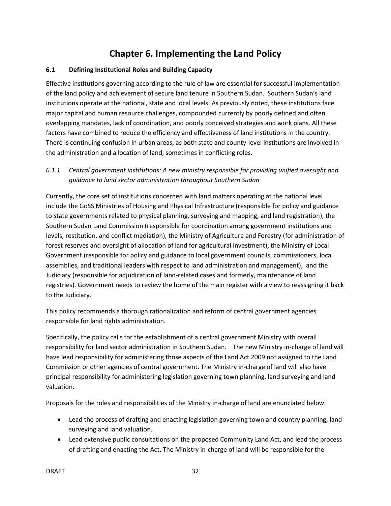# **Chapter 6. Implementing the Land Policy**

#### **6.1 Defining Institutional Roles and Building Capacity**

Effective institutions governing according to the rule of law are essential for successful implementation of the land policy and achievement of secure land tenure in Southern Sudan. Southern Sudan's land institutions operate at the national, state and local levels. As previously noted, these institutions face major capital and human resource challenges, compounded currently by poorly defined and often overlapping mandates, lack of coordination, and poorly conceived strategies and work plans. All these factors have combined to reduce the efficiency and effectiveness of land institutions in the country. There is continuing confusion in urban areas, as both state and county-level institutions are involved in the administration and allocation of land, sometimes in conflicting roles.

# *6.1.1 Central government institutions: A new ministry responsible for providing unified oversight and guidance to land sector administration throughout Southern Sudan*

Currently, the core set of institutions concerned with land matters operating at the national level include the GoSS Ministries of Housing and Physical Infrastructure (responsible for policy and guidance to state governments related to physical planning, surveying and mapping, and land registration), the Southern Sudan Land Commission (responsible for coordination among government institutions and levels, restitution, and conflict mediation), the Ministry of Agriculture and Forestry (for administration of forest reserves and oversight of allocation of land for agricultural investment), the Ministry of Local Government (responsible for policy and guidance to local government councils, commissioners, local assemblies, and traditional leaders with respect to land administration and management), and the Judiciary (responsible for adjudication of land-related cases and formerly, maintenance of land registries). Government needs to review the home of the main register with a view to reassigning it back to the Judiciary.

This policy recommends a thorough rationalization and reform of central government agencies responsible for land rights administration.

Specifically, the policy calls for the establishment of a central government Ministry with overall responsibility for land sector administration in Southern Sudan. The new Ministry in-charge of land will have lead responsibility for administering those aspects of the Land Act 2009 not assigned to the Land Commission or other agencies of central government. The Ministry in-charge of land will also have principal responsibility for administering legislation governing town planning, land surveying and land valuation.

Proposals for the roles and responsibilities of the Ministry in-charge of land are enunciated below.

- Lead the process of drafting and enacting legislation governing town and country planning, land surveying and land valuation.
- Lead extensive public consultations on the proposed Community Land Act, and lead the process of drafting and enacting the Act. The Ministry in-charge of land will be responsible for the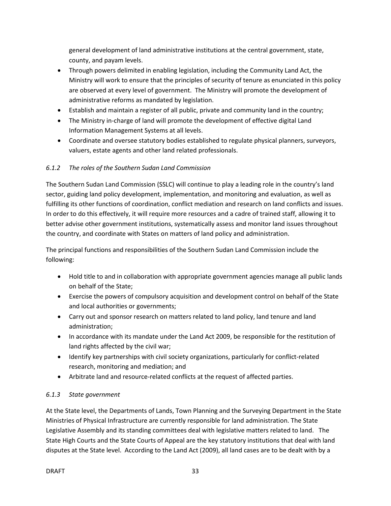general development of land administrative institutions at the central government, state, county, and payam levels.

- Through powers delimited in enabling legislation, including the Community Land Act, the Ministry will work to ensure that the principles of security of tenure as enunciated in this policy are observed at every level of government. The Ministry will promote the development of administrative reforms as mandated by legislation.
- Establish and maintain a register of all public, private and community land in the country;
- The Ministry in-charge of land will promote the development of effective digital Land Information Management Systems at all levels.
- Coordinate and oversee statutory bodies established to regulate physical planners, surveyors, valuers, estate agents and other land related professionals.

# *6.1.2 The roles of the Southern Sudan Land Commission*

The Southern Sudan Land Commission (SSLC) will continue to play a leading role in the country's land sector, guiding land policy development, implementation, and monitoring and evaluation, as well as fulfilling its other functions of coordination, conflict mediation and research on land conflicts and issues. In order to do this effectively, it will require more resources and a cadre of trained staff, allowing it to better advise other government institutions, systematically assess and monitor land issues throughout the country, and coordinate with States on matters of land policy and administration.

The principal functions and responsibilities of the Southern Sudan Land Commission include the following:

- Hold title to and in collaboration with appropriate government agencies manage all public lands on behalf of the State;
- Exercise the powers of compulsory acquisition and development control on behalf of the State and local authorities or governments;
- Carry out and sponsor research on matters related to land policy, land tenure and land administration;
- In accordance with its mandate under the Land Act 2009, be responsible for the restitution of land rights affected by the civil war;
- Identify key partnerships with civil society organizations, particularly for conflict-related research, monitoring and mediation; and
- Arbitrate land and resource-related conflicts at the request of affected parties.

# *6.1.3 State government*

At the State level, the Departments of Lands, Town Planning and the Surveying Department in the State Ministries of Physical Infrastructure are currently responsible for land administration. The State Legislative Assembly and its standing committees deal with legislative matters related to land. The State High Courts and the State Courts of Appeal are the key statutory institutions that deal with land disputes at the State level. According to the Land Act (2009), all land cases are to be dealt with by a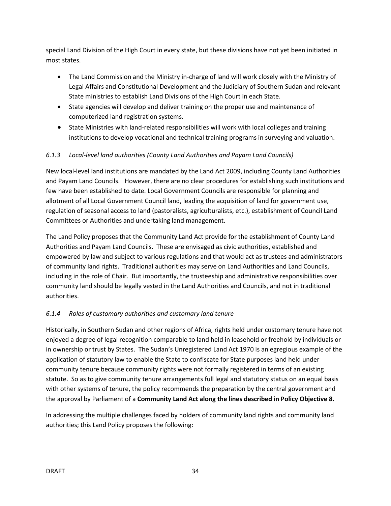special Land Division of the High Court in every state, but these divisions have not yet been initiated in most states.

- The Land Commission and the Ministry in-charge of land will work closely with the Ministry of Legal Affairs and Constitutional Development and the Judiciary of Southern Sudan and relevant State ministries to establish Land Divisions of the High Court in each State.
- State agencies will develop and deliver training on the proper use and maintenance of computerized land registration systems.
- State Ministries with land-related responsibilities will work with local colleges and training institutions to develop vocational and technical training programs in surveying and valuation.

# *6.1.3 Local-level land authorities (County Land Authorities and Payam Land Councils)*

New local-level land institutions are mandated by the Land Act 2009, including County Land Authorities and Payam Land Councils. However, there are no clear procedures for establishing such institutions and few have been established to date. Local Government Councils are responsible for planning and allotment of all Local Government Council land, leading the acquisition of land for government use, regulation of seasonal access to land (pastoralists, agriculturalists, etc.), establishment of Council Land Committees or Authorities and undertaking land management.

The Land Policy proposes that the Community Land Act provide for the establishment of County Land Authorities and Payam Land Councils. These are envisaged as civic authorities, established and empowered by law and subject to various regulations and that would act as trustees and administrators of community land rights. Traditional authorities may serve on Land Authorities and Land Councils, including in the role of Chair. But importantly, the trusteeship and administrative responsibilities over community land should be legally vested in the Land Authorities and Councils, and not in traditional authorities.

# *6.1.4 Roles of customary authorities and customary land tenure*

Historically, in Southern Sudan and other regions of Africa, rights held under customary tenure have not enjoyed a degree of legal recognition comparable to land held in leasehold or freehold by individuals or in ownership or trust by States. The Sudan's Unregistered Land Act 1970 is an egregious example of the application of statutory law to enable the State to confiscate for State purposes land held under community tenure because community rights were not formally registered in terms of an existing statute. So as to give community tenure arrangements full legal and statutory status on an equal basis with other systems of tenure, the policy recommends the preparation by the central government and the approval by Parliament of a **Community Land Act along the lines described in Policy Objective 8.** 

In addressing the multiple challenges faced by holders of community land rights and community land authorities; this Land Policy proposes the following: